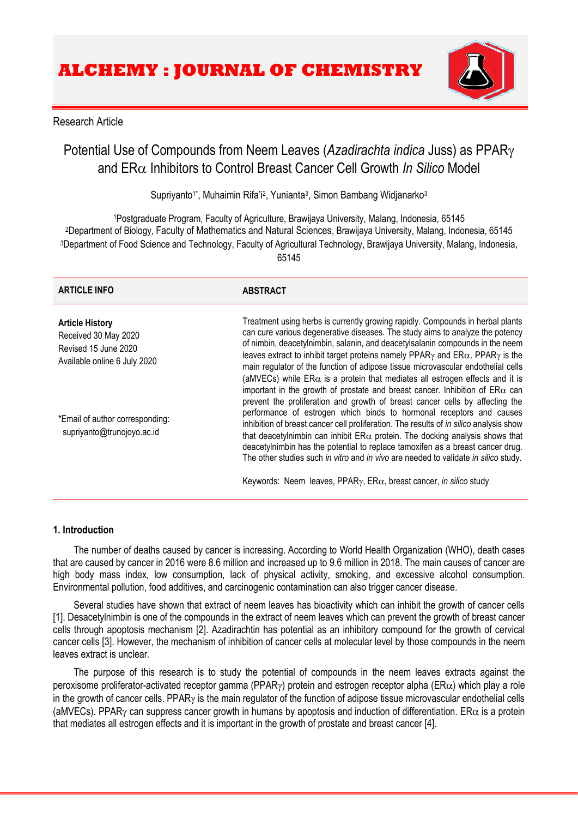

# Research Article

# Potential Use of Compounds from Neem Leaves (*Azadirachta indica* Juss) as PPAR and ERα Inhibitors to Control Breast Cancer Cell Growth *In Silico* Model

Supriyanto<sup>1\*</sup>, Muhaimin Rifa'i<sup>2</sup>, Yunianta<sup>3</sup>, Simon Bambang Widjanarko<sup>3</sup>

Postgraduate Program, Faculty of Agriculture, Brawijaya University, Malang, Indonesia, 65145 Department of Biology, Faculty of Mathematics and Natural Sciences, Brawijaya University, Malang, Indonesia, 65145 Department of Food Science and Technology, Faculty of Agricultural Technology, Brawijaya University, Malang, Indonesia, 65145

| <b>ARTICLE INFO</b>                                                                                    | <b>ABSTRACT</b>                                                                                                                                                                                                                                                                                                                                                                                                                                                                                                                                                                                       |
|--------------------------------------------------------------------------------------------------------|-------------------------------------------------------------------------------------------------------------------------------------------------------------------------------------------------------------------------------------------------------------------------------------------------------------------------------------------------------------------------------------------------------------------------------------------------------------------------------------------------------------------------------------------------------------------------------------------------------|
| <b>Article History</b><br>Received 30 May 2020<br>Revised 15 June 2020<br>Available online 6 July 2020 | Treatment using herbs is currently growing rapidly. Compounds in herbal plants<br>can cure various degenerative diseases. The study aims to analyze the potency<br>of nimbin, deacetylnimbin, salanin, and deacetylsalanin compounds in the neem<br>leaves extract to inhibit target proteins namely PPAR $\gamma$ and ER $\alpha$ . PPAR $\gamma$ is the<br>main regulator of the function of adipose tissue microvascular endothelial cells<br>(aMVECs) while $ER\alpha$ is a protein that mediates all estrogen effects and it is                                                                  |
| *Email of author corresponding:<br>supriyanto@trunojoyo.ac.id                                          | important in the growth of prostate and breast cancer. Inhibition of $ER\alpha$ can<br>prevent the proliferation and growth of breast cancer cells by affecting the<br>performance of estrogen which binds to hormonal receptors and causes<br>inhibition of breast cancer cell proliferation. The results of in silico analysis show<br>that deacetylnimbin can inhibit $ER\alpha$ protein. The docking analysis shows that<br>deacetylnimbin has the potential to replace tamoxifen as a breast cancer drug.<br>The other studies such in vitro and in vivo are needed to validate in silico study. |
|                                                                                                        | Keywords: Neem leaves, PPAR $\gamma$ , ER $\alpha$ , breast cancer, in silico study                                                                                                                                                                                                                                                                                                                                                                                                                                                                                                                   |

# **1. Introduction**

The number of deaths caused by cancer is increasing. According to World Health Organization (WHO), death cases that are caused by cancer in 2016 were 8.6 million and increased up to 9.6 million in 2018. The main causes of cancer are high body mass index, low consumption, lack of physical activity, smoking, and excessive alcohol consumption. Environmental pollution, food additives, and carcinogenic contamination can also trigger cancer disease.

Several studies have shown that extract of neem leaves has bioactivity which can inhibit the growth of cancer cells [1]. Desacetylnimbin is one of the compounds in the extract of neem leaves which can prevent the growth of breast cancer cells through apoptosis mechanism [2]. Azadirachtin has potential as an inhibitory compound for the growth of cervical cancer cells [3]. However, the mechanism of inhibition of cancer cells at molecular level by those compounds in the neem leaves extract is unclear.

The purpose of this research is to study the potential of compounds in the neem leaves extracts against the peroxisome proliferator-activated receptor gamma (PPAR $\gamma$ ) protein and estrogen receptor alpha (ER $\alpha$ ) which play a role in the growth of cancer cells. PPAR $\gamma$  is the main regulator of the function of adipose tissue microvascular endothelial cells (aMVECs). PPAR<sub>Y</sub> can suppress cancer growth in humans by apoptosis and induction of differentiation. ER $\alpha$  is a protein that mediates all estrogen effects and it is important in the growth of prostate and breast cancer [4].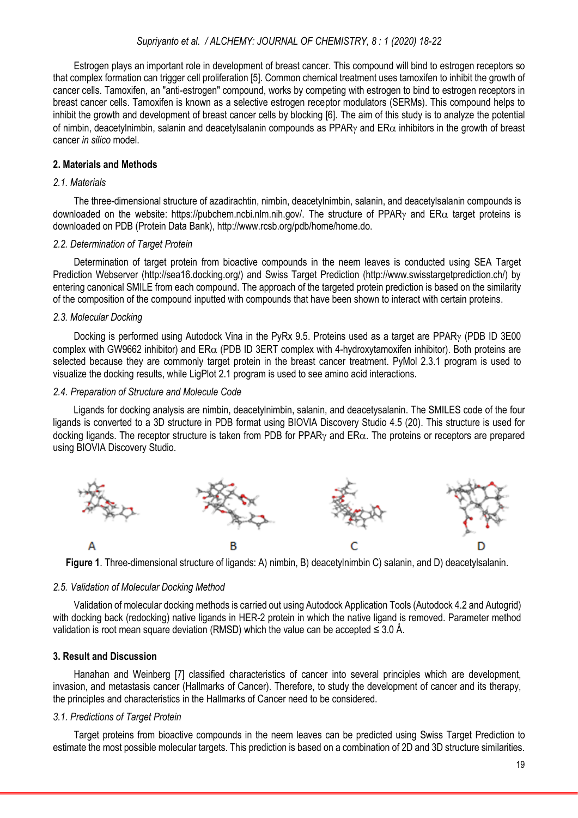## *Supriyanto et al. / ALCHEMY: JOURNAL OF CHEMISTRY, 8 : 1 (2020) 18-22*

Estrogen plays an important role in development of breast cancer. This compound will bind to estrogen receptors so that complex formation can trigger cell proliferation [5]. Common chemical treatment uses tamoxifen to inhibit the growth of cancer cells. Tamoxifen, an "anti-estrogen" compound, works by competing with estrogen to bind to estrogen receptors in breast cancer cells. Tamoxifen is known as a selective estrogen receptor modulators (SERMs). This compound helps to inhibit the growth and development of breast cancer cells by blocking [6]. The aim of this study is to analyze the potential of nimbin, deacetylnimbin, salanin and deacetylsalanin compounds as PPAR $\gamma$  and ER $\alpha$  inhibitors in the growth of breast cancer *in silico* model.

## **2. Materials and Methods**

#### *2.1. Materials*

The three-dimensional structure of azadirachtin, nimbin, deacetylnimbin, salanin, and deacetylsalanin compounds is downloaded on the website: https://pubchem.ncbi.nlm.nih.gov/. The structure of PPAR<sub>Y</sub> and ER $\alpha$  target proteins is downloaded on PDB (Protein Data Bank), http://www.rcsb.org/pdb/home/home.do.

## *2.2. Determination of Target Protein*

Determination of target protein from bioactive compounds in the neem leaves is conducted using SEA Target Prediction Webserver (http://sea16.docking.org/) and Swiss Target Prediction (http://www.swisstargetprediction.ch/) by entering canonical SMILE from each compound. The approach of the targeted protein prediction is based on the similarity of the composition of the compound inputted with compounds that have been shown to interact with certain proteins.

## *2.3. Molecular Docking*

Docking is performed using Autodock Vina in the PyRx 9.5. Proteins used as a target are PPAR $\gamma$  (PDB ID 3E00 complex with GW9662 inhibitor) and  $ER\alpha$  (PDB ID 3ERT complex with 4-hydroxytamoxifen inhibitor). Both proteins are selected because they are commonly target protein in the breast cancer treatment. PyMol 2.3.1 program is used to visualize the docking results, while LigPlot 2.1 program is used to see amino acid interactions.

#### *2.4. Preparation of Structure and Molecule Code*

Ligands for docking analysis are nimbin, deacetylnimbin, salanin, and deacetysalanin. The SMILES code of the four ligands is converted to a 3D structure in PDB format using BIOVIA Discovery Studio 4.5 (20). This structure is used for docking ligands. The receptor structure is taken from PDB for PPAR $\gamma$  and ER $\alpha$ . The proteins or receptors are prepared using BIOVIA Discovery Studio.



**Figure 1**. Three-dimensional structure of ligands: A) nimbin, B) deacetylnimbin C) salanin, and D) deacetylsalanin.

#### *2.5. Validation of Molecular Docking Method*

Validation of molecular docking methods is carried out using Autodock Application Tools (Autodock 4.2 and Autogrid) with docking back (redocking) native ligands in HER-2 protein in which the native ligand is removed. Parameter method validation is root mean square deviation (RMSD) which the value can be accepted  $\leq 3.0$  Å.

## **3. Result and Discussion**

Hanahan and Weinberg [7] classified characteristics of cancer into several principles which are development, invasion, and metastasis cancer (Hallmarks of Cancer). Therefore, to study the development of cancer and its therapy, the principles and characteristics in the Hallmarks of Cancer need to be considered.

## *3.1. Predictions of Target Protein*

Target proteins from bioactive compounds in the neem leaves can be predicted using Swiss Target Prediction to estimate the most possible molecular targets. This prediction is based on a combination of 2D and 3D structure similarities.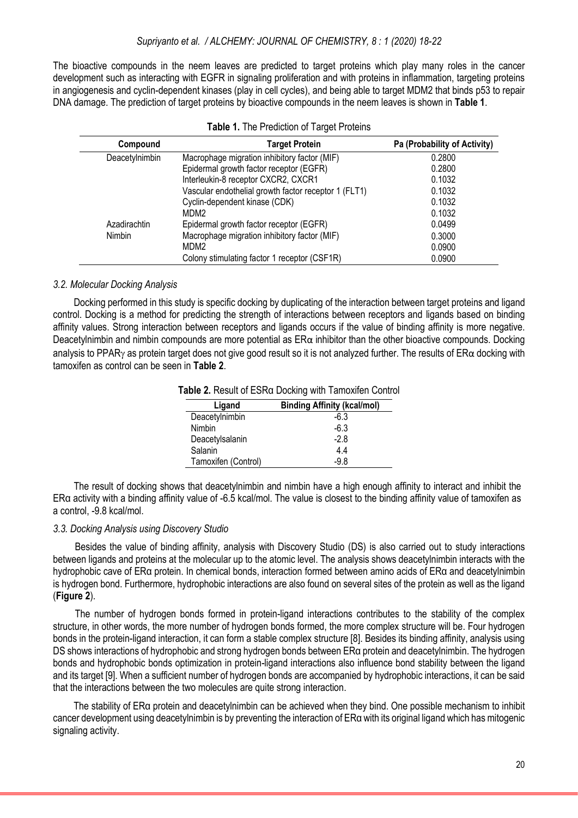The bioactive compounds in the neem leaves are predicted to target proteins which play many roles in the cancer development such as interacting with EGFR in signaling proliferation and with proteins in inflammation, targeting proteins in angiogenesis and cyclin-dependent kinases (play in cell cycles), and being able to target MDM2 that binds p53 to repair DNA damage. The prediction of target proteins by bioactive compounds in the neem leaves is shown in **Table 1**.

| Compound       | <b>Target Protein</b>                                | Pa (Probability of Activity) |
|----------------|------------------------------------------------------|------------------------------|
| Deacetylnimbin | Macrophage migration inhibitory factor (MIF)         | 0.2800                       |
|                | Epidermal growth factor receptor (EGFR)              | 0.2800                       |
|                | Interleukin-8 receptor CXCR2, CXCR1                  | 0.1032                       |
|                | Vascular endothelial growth factor receptor 1 (FLT1) | 0.1032                       |
|                | Cyclin-dependent kinase (CDK)                        | 0.1032                       |
|                | MDM2                                                 | 0.1032                       |
| Azadirachtin   | Epidermal growth factor receptor (EGFR)              | 0.0499                       |
| Nimbin         | Macrophage migration inhibitory factor (MIF)         | 0.3000                       |
|                | MDM <sub>2</sub>                                     | 0.0900                       |
|                | Colony stimulating factor 1 receptor (CSF1R)         | 0.0900                       |

| Table 1. The Prediction of Target Proteins |  |  |  |  |  |  |
|--------------------------------------------|--|--|--|--|--|--|
|--------------------------------------------|--|--|--|--|--|--|

## *3.2. Molecular Docking Analysis*

Docking performed in this study is specific docking by duplicating of the interaction between target proteins and ligand control. Docking is a method for predicting the strength of interactions between receptors and ligands based on binding affinity values. Strong interaction between receptors and ligands occurs if the value of binding affinity is more negative. Deacetylnimbin and nimbin compounds are more potential as  $ER\alpha$  inhibitor than the other bioactive compounds. Docking analysis to PPAR<sub>Y</sub> as protein target does not give good result so it is not analyzed further. The results of  $ER\alpha$  docking with tamoxifen as control can be seen in **Table 2**.

| Table 2. Result of ESRa Docking with Tamoxifen Control |  |
|--------------------------------------------------------|--|
|--------------------------------------------------------|--|

| Ligand              | <b>Binding Affinity (kcal/mol)</b> |
|---------------------|------------------------------------|
| Deacetylnimbin      | $-6.3$                             |
| Nimbin              | $-6.3$                             |
| Deacetylsalanin     | $-2.8$                             |
| Salanin             | 44                                 |
| Tamoxifen (Control) | -98                                |

The result of docking shows that deacetylnimbin and nimbin have a high enough affinity to interact and inhibit the ERα activity with a binding affinity value of -6.5 kcal/mol. The value is closest to the binding affinity value of tamoxifen as a control, -9.8 kcal/mol.

## *3.3. Docking Analysis using Discovery Studio*

Besides the value of binding affinity, analysis with Discovery Studio (DS) is also carried out to study interactions between ligands and proteins at the molecular up to the atomic level. The analysis shows deacetylnimbin interacts with the hydrophobic cave of ERα protein. In chemical bonds, interaction formed between amino acids of ERα and deacetylnimbin is hydrogen bond. Furthermore, hydrophobic interactions are also found on several sites of the protein as well as the ligand (**Figure 2**).

The number of hydrogen bonds formed in protein-ligand interactions contributes to the stability of the complex structure, in other words, the more number of hydrogen bonds formed, the more complex structure will be. Four hydrogen bonds in the protein-ligand interaction, it can form a stable complex structure [8]. Besides its binding affinity, analysis using DS shows interactions of hydrophobic and strong hydrogen bonds between ERα protein and deacetylnimbin. The hydrogen bonds and hydrophobic bonds optimization in protein-ligand interactions also influence bond stability between the ligand and its target [9]. When a sufficient number of hydrogen bonds are accompanied by hydrophobic interactions, it can be said that the interactions between the two molecules are quite strong interaction.

The stability of ERα protein and deacetylnimbin can be achieved when they bind. One possible mechanism to inhibit cancer development using deacetylnimbin is by preventing the interaction of ERα with its original ligand which has mitogenic signaling activity.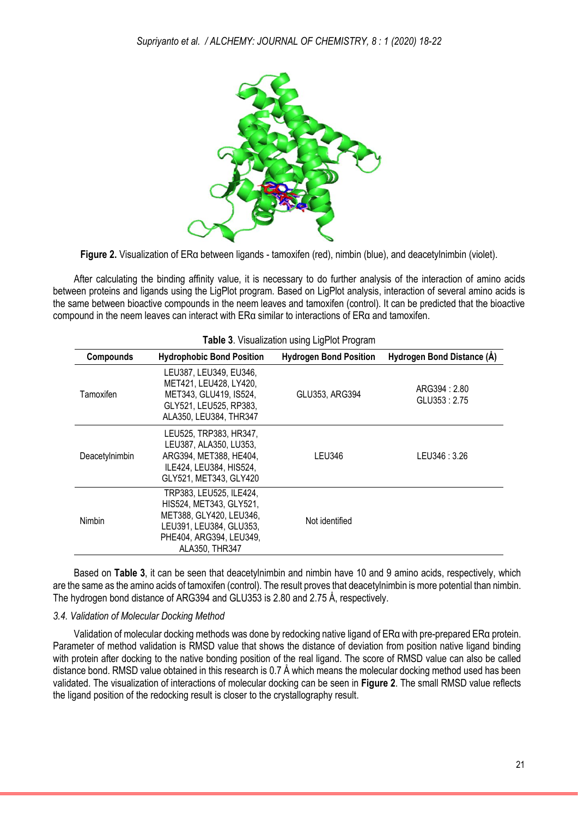

**Figure 2.** Visualization of ERα between ligands - tamoxifen (red), nimbin (blue), and deacetylnimbin (violet).

After calculating the binding affinity value, it is necessary to do further analysis of the interaction of amino acids between proteins and ligands using the LigPlot program. Based on LigPlot analysis, interaction of several amino acids is the same between bioactive compounds in the neem leaves and tamoxifen (control). It can be predicted that the bioactive compound in the neem leaves can interact with ERα similar to interactions of ERα and tamoxifen.

|                |                                                                                                                                                       | <b>Table 3.</b> Visualization using Lightot Flogiant |                              |
|----------------|-------------------------------------------------------------------------------------------------------------------------------------------------------|------------------------------------------------------|------------------------------|
| Compounds      | <b>Hydrophobic Bond Position</b>                                                                                                                      | <b>Hydrogen Bond Position</b>                        | Hydrogen Bond Distance (Å)   |
| Tamoxifen      | LEU387, LEU349, EU346,<br>MET421, LEU428, LY420,<br>MET343, GLU419, IS524,<br>GLY521, LEU525, RP383,<br>ALA350, LEU384, THR347                        | GLU353, ARG394                                       | ARG394: 2.80<br>GLU353: 2.75 |
| Deacetylnimbin | LEU525, TRP383, HR347,<br>LEU387, ALA350, LU353,<br>ARG394, MET388, HE404,<br>ILE424, LEU384, HIS524,<br>GLY521, MET343, GLY420                       | <b>LEU346</b>                                        | LEU346: 3.26                 |
| Nimbin         | TRP383, LEU525, ILE424,<br>HIS524. MET343. GLY521.<br>MET388, GLY420, LEU346,<br>LEU391, LEU384, GLU353,<br>PHE404, ARG394, LEU349,<br>ALA350, THR347 | Not identified                                       |                              |

**Table 3**. Visualization using LigPlot Program

Based on **Table 3**, it can be seen that deacetylnimbin and nimbin have 10 and 9 amino acids, respectively, which are the same as the amino acids of tamoxifen (control). The result proves that deacetylnimbin is more potential than nimbin. The hydrogen bond distance of ARG394 and GLU353 is 2.80 and 2.75 Å, respectively.

## *3.4. Validation of Molecular Docking Method*

Validation of molecular docking methods was done by redocking native ligand of ERα with pre-prepared ERα protein. Parameter of method validation is RMSD value that shows the distance of deviation from position native ligand binding with protein after docking to the native bonding position of the real ligand. The score of RMSD value can also be called distance bond. RMSD value obtained in this research is 0.7 Å which means the molecular docking method used has been validated. The visualization of interactions of molecular docking can be seen in **Figure 2**. The small RMSD value reflects the ligand position of the redocking result is closer to the crystallography result.